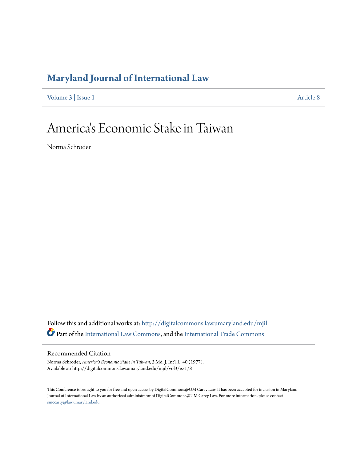# **[Maryland Journal of International Law](http://digitalcommons.law.umaryland.edu/mjil?utm_source=digitalcommons.law.umaryland.edu%2Fmjil%2Fvol3%2Fiss1%2F8&utm_medium=PDF&utm_campaign=PDFCoverPages)**

[Volume 3](http://digitalcommons.law.umaryland.edu/mjil/vol3?utm_source=digitalcommons.law.umaryland.edu%2Fmjil%2Fvol3%2Fiss1%2F8&utm_medium=PDF&utm_campaign=PDFCoverPages) | [Issue 1](http://digitalcommons.law.umaryland.edu/mjil/vol3/iss1?utm_source=digitalcommons.law.umaryland.edu%2Fmjil%2Fvol3%2Fiss1%2F8&utm_medium=PDF&utm_campaign=PDFCoverPages) [Article 8](http://digitalcommons.law.umaryland.edu/mjil/vol3/iss1/8?utm_source=digitalcommons.law.umaryland.edu%2Fmjil%2Fvol3%2Fiss1%2F8&utm_medium=PDF&utm_campaign=PDFCoverPages)

# America 's Economic Stake in Taiwan

Norma Schroder

Follow this and additional works at: [http://digitalcommons.law.umaryland.edu/mjil](http://digitalcommons.law.umaryland.edu/mjil?utm_source=digitalcommons.law.umaryland.edu%2Fmjil%2Fvol3%2Fiss1%2F8&utm_medium=PDF&utm_campaign=PDFCoverPages) Part of the [International Law Commons,](http://network.bepress.com/hgg/discipline/609?utm_source=digitalcommons.law.umaryland.edu%2Fmjil%2Fvol3%2Fiss1%2F8&utm_medium=PDF&utm_campaign=PDFCoverPages) and the [International Trade Commons](http://network.bepress.com/hgg/discipline/848?utm_source=digitalcommons.law.umaryland.edu%2Fmjil%2Fvol3%2Fiss1%2F8&utm_medium=PDF&utm_campaign=PDFCoverPages)

## Recommended Citation

Norma Schroder, *America's Economic Stake in Taiwan*, 3 Md. J. Int'l L. 40 (1977). Available at: http://digitalcommons.law.umaryland.edu/mjil/vol3/iss1/8

This Conference is brought to you for free and open access by DigitalCommons@UM Carey Law. It has been accepted for inclusion in Maryland Journal of International Law by an authorized administrator of DigitalCommons@UM Carey Law. For more information, please contact [smccarty@law.umaryland.edu.](mailto:smccarty@law.umaryland.edu)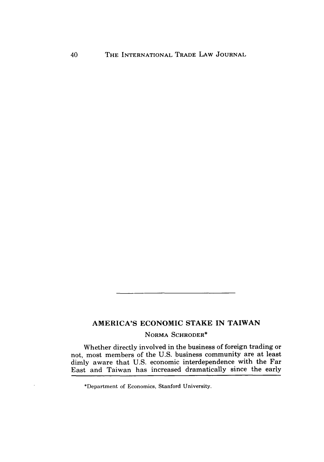# AMERICA'S ECONOMIC STAKE IN **TAIWAN**

## NORMA SCHRODER\*

Whether directly involved in the business of foreign trading or not, most members of the U.S. business community are at least dimly aware that U.S. economic interdependence with the Far East and Taiwan has increased dramatically since the early

<sup>\*</sup>Department of Economics, Stanford University.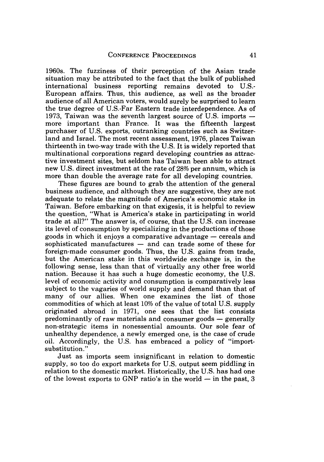1960s. The fuzziness of their perception of the Asian trade situation may be attributed to the fact that the bulk of published international business reporting remains devoted to U.S.- European affairs. Thus, this audience, as well as the broader audience of all American voters, would surely be surprised to learn the true degree of U.S.-Far Eastern trade interdependence. As of 1973, Taiwan was the seventh largest source of U.S. imports  more important than France. It was the fifteenth largest purchaser of U.S. exports, outranking countries such as Switzerland and Israel. The most recent assessment, 1976, places Taiwan thirteenth in two-way trade with the U.S. It is widely reported that multinational corporations regard developing countries as attractive investment sites, but seldom has Taiwan been able to attract new U.S. direct investment at the rate of **28%** per annum, which is more than double the average rate for all developing countries.

These figures are bound to grab the attention of the general business audience, and although they are suggestive, they are not adequate to relate the magnitude of America's economic stake in Taiwan. Before embarking on that exigesis, it is helpful to review the question, "What is America's stake in participating in world trade at all?" The answer is, of course, that the U.S. can increase its level of consumption by specializing in the productions of those goods in which it enjoys a comparative advantage **-** cereals and sophisticated manufactures **-** and can trade some of these for foreign-made consumer goods. Thus, the U.S. gains from trade, but the American stake in this worldwide exchange is, in the following sense, less than that of virtually any other free world nation. Because it has such a huge domestic economy, the U.S. level of economic activity and consumption is comparatively less subject to the vagaries of world supply and demand than that of many of our allies. When one examines the list of those commodities of which at least 10% of the value of total U.S. supply originated abroad in 1971, one sees that the list consists predominantly of raw materials and consumer goods **-** generally non-strategic items in nonessential amounts. Our sole fear of unhealthy dependence, a newly emerged one, is the case of crude oil. Accordingly, the U.S. has embraced a policy of "importsubstitution."

Just as imports seem insignificant in relation to domestic supply, so too do export markets for U.S. output seem piddling in relation to the domestic market. Historically, the U.S. has had one of the lowest exports to GNP ratio's in the world  $-$  in the past, 3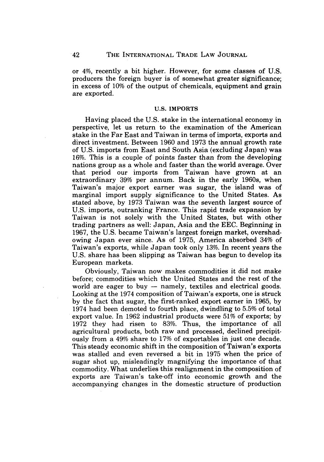or 4%, recently a bit higher. However, for some classes of U.S. producers the foreign buyer is of somewhat greater significance; in excess of 10% of the output of chemicals, equipment and grain are exported.

#### **U.S.** IMPORTS

Having placed the U.S. stake in the international economy in perspective, let us return to the examination of the American stake in the Far East and Taiwan in terms of imports, exports and direct investment. Between 1960 and 1973 the annual growth rate of U.S. imports from East and South Asia (excluding Japan) was 16%. This is a couple of points faster than from the developing nations group as a whole and faster than the world average. Over that period our imports from Taiwan have grown at an extraordinary 39% per annum. Back in the early 1960s, when Taiwan's major export earner was sugar, the island was of marginal import supply significance to the United States. As stated above, by 1973 Taiwan was the seventh largest source of U.S. imports, outranking France. This rapid trade expansion by Taiwan is not solely with the United States, but with other trading partners as well: Japan, Asia and the EEC. Beginning in 1967, the U.S. became Taiwan's largest foreign market, overshadowing Japan ever since. As of 1975, America absorbed 34% of Taiwan's exports, while Japan took only 13%. In recent years the U.S. share has been slipping as Taiwan has begun to develop its European markets.

Obviously, Taiwan now makes commodities it did not make before; commodities which the United States and the rest of the world are eager to buy  $-$  namely, textiles and electrical goods. Looking at the 1974 composition of Taiwan's exports, one is struck by the fact that sugar, the first-ranked export earner in 1965, by 1974 had been demoted to fourth place, dwindling to 5.5% of total export value. In 1962 industrial products were 51% of exports; by 1972 they had risen to 83%. Thus, the importance of all agricultural products, both raw and processed, declined precipitously from a 49% share to 17% of exportables in just one decade. This steady economic shift in the composition of Taiwan's exports was stalled and even reversed a bit in 1975 when the price of sugar shot up, misleadingly magnifying the importance of that commodity. What underlies this realignment in the composition of exports are Taiwan's take-off into economic growth and the accompanying changes in the domestic structure **of** production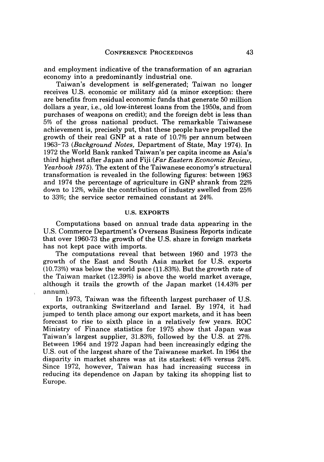and employment indicative of the transformation of an agrarian economy into a predominantly industrial one.

Taiwan's development is self-generated; Taiwan no longer receives U.S. economic or military aid (a minor exception: there are benefits from residual economic funds that generate 50 million dollars a year, i.e., old low-interest loans from the 1950s, and from purchases of weapons on credit); and the foreign debt is less than 5% of the gross national product. The remarkable Taiwanese achievement is, precisely put, that these people have propelled the growth of their real GNP at a rate of 10.7% per annum between 1963-73 *(Background Notes,* Department of State, May 1974). In 1972 the World Bank ranked Taiwan's per capita income as Asia's third highest after Japan and Fiji *(Far Eastern Economic Review, Yearbook 1975).* The extent of the Taiwanese economy's structural transformation is revealed in the following figures: between 1963 and 1974 the percentage of agriculture in GNP shrank from 22% down to 12%, while the contribution of industry swelled from 25% to 33%; the service sector remained constant at 24%.

#### **U.S.** EXPORTS

Computations based on annual trade data appearing in the U.S. Commerce Department's Overseas Business Reports indicate that over 1960-73 the growth of the U.S. share in foreign markets has not kept pace with imports.

The computations reveal that between 1960 and 1973 the growth of the East and South Asia market for U.S. exports (10.73%) was below the world pace (11.83%). But the growth rate of the Taiwan market (12.39%) is above the world market average, although it trails the growth of the Japan market (14.43% per annum).

In 1973, Taiwan was the fifteenth largest purchaser of U.S. exports, outranking Switzerland and Israel. By 1974, it had jumped to tenth place among our export markets, and it has been forecast to rise to sixth place in a relatively few years. ROC Ministry of Finance statistics for 1975 show that Japan was Taiwan's largest supplier, 31.83%, followed by the U.S. at 27%. Between 1964 and 1972 Japan had been increasingly edging the U.S. out of the largest share of the Taiwanese market. In 1964 the disparity in market shares was at its starkest: 44% versus 24%. Since 1972, however, Taiwan has had increasing success in reducing its dependence on Japan by taking its shopping list to Europe.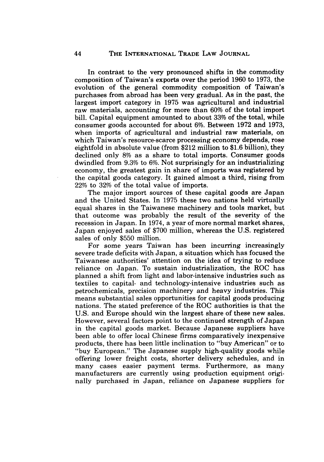In contrast to the very pronounced shifts in the commodity composition of Taiwan's exports over the period 1960 to 1973, the evolution of the general commodity composition of Taiwan's purchases from abroad has been very gradual. As in the past, the largest import category in 1975 was agricultural and industrial raw materials, accounting for more than 60% of the total import bill. Capital equipment amounted to about 33% of the total, while consumer goods accounted for about 6%. Between 1972 and 1973, when imports of agricultural and industrial raw materials, on which Taiwan's resource-scarce processing economy depends, rose eightfold in absolute value (from \$212 million to \$1.6 billion), they declined only 8% as a share to total imports. Consumer goods dwindled from 9.3% to 6%. Not surprisingly for an industrializing economy, the greatest gain in share of imports was registered by the capital goods category. It gained almost a third, rising from 22% to 32% of the total value of imports.

The major import sources of these capital goods are Japan and the United States. In 1975 these two nations held virtually equal shares in the Taiwanese machinery and tools market, but that outcome was probably the result of the severity of the recession in Japan. In 1974, a year of more normal market shares, Japan enjoyed sales of \$700 million, whereas the U.S. registered sales of only \$550 million.

For some years Taiwan has been incurring increasingly severe trade deficits with Japan, a situation which has focused the Taiwanese authorities' attention on the idea of trying to reduce reliance on Japan. To sustain industrialization, the ROC has planned a shift from light and labor-intensive industries such as textiles to capital- and technology-intensive industries such as petrochemicals, precision machinery and heavy industries. This means substantial sales opportunities for capital goods producing nations. The stated preference of the ROC authorities is that the U.S. and Europe should win the largest share of these new sales. However, several factors point to the continued strength of Japan in the capital goods market. Because Japanese suppliers have been able to offer local Chinese firms comparatively inexpensive products, there has been little inclination to "buy American" or to "buy European." The Japanese supply high-quality goods while offering lower freight costs, shorter delivery schedules, and in many cases easier payment terms. Furthermore, as many manufacturers are currently using production equipment originally purchased in Japan, reliance on Japanese suppliers for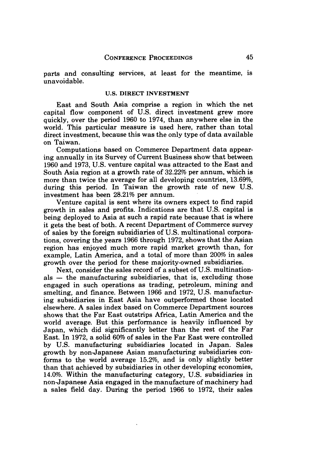parts and consulting services, at least for the meantime, is unavoidable.

#### **U.S.** DIRECT **INVESTMENT**

East and South Asia comprise a region in which the net capital flow component of U.S. direct investment grew more quickly, over the period 1960 to 1974, than anywhere else in the world. This particular measure is used here, rather than total direct investment, because this was the only type of data available on Taiwan.

Computations based on Commerce Department data appearing annually in its Survey of Current Business show that between 1960 and 1973, U.S. venture capital was attracted to the East and South Asia region at a growth rate of 32.22% per annum, which is more than twice the average for all developing countries, 13.69%, during this period. In Taiwan the growth rate of new U.S. investment has been 28.21% per annum.

Venture capital is sent where its owners expect to find rapid growth in sales and profits. Indications are that U.S. capital is being deployed to Asia at such a rapid rate because that is where it gets the best of both. A recent Department of Commerce survey of sales by the foreign subsidiaries of U.S. multinational corporations, covering the years 1966 through 1972, shows that the Asian region has enjoyed much more rapid market growth than, for example, Latin America, and a total of more than 200% in sales growth over the period for these majority-owned subsidiaries.

Next, consider the sales record of a subset of **U.S.** multinationals **-** the manufacturing subsidiaries, that is, excluding those engaged in such operations as trading, petroleum, mining and smelting, and finance. Between **1966** and **1972, U.S.** manufacturing subsidiaries in East Asia have outperformed those located elsewhere. A sales index based on Commerce Department sources shows that the Far East outstrips Africa, Latin America and the world average. But this performance is heavily influenced by Japan, which did significantly better than the rest of the Far East. In 1972, a solid 60% of sales in the Far East were controlled by U.S. manufacturing subsidiaries located in Japan. Sales growth by non-Japanese Asian manufacturing subsidiaries conforms to the world average 15.2%, and is only slightly better than that achieved by subsidiaries in other developing economies, 14.0%. Within the manufacturing category, U.S. subsidiaries in non-Japanese Asia engaged in the manufacture of machinery had a sales field day. During the period 1966 to 1972, their sales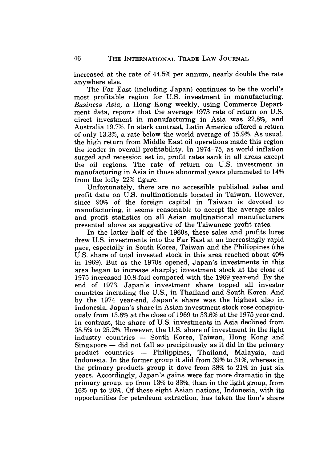increased at the rate of 44.5% per annum, nearly double the rate anywhere else.

The Far East (including Japan) continues to be the world's most profitable region for U.S. investment in manufacturing. *Business Asia,* a Hong Kong weekly, using Commerce Department data, reports that the average 1973 rate of return on U.S. direct investment in manufacturing in Asia was 22.8%, and Australia 19.7%. In stark contrast, Latin America offered a return of only 13.3%, a rate below the world average of 15.9%. As usual, the high return from Middle East oil operations made this region the leader in overall profitability. In 1974-75, as world inflation surged and recession set in, profit rates sank in all areas except the oil regions. The rate of return on U.S. investment in manufacturing in Asia in those abnormal years plummeted to 14% from the lofty 22% figure.

Unfortunately, there are no accessible published sales and profit data on U.S. multinationals located in Taiwan. However, since 90% of the foreign capital in Taiwan is devoted to manufacturing, it seems reasonable to accept the average sales and profit statistics on all Asian multinational manufacturers presented above as suggestive of the Taiwanese profit rates.

In the latter half of the 1960s, these sales and profits lures drew U.S. investments into the Far East at an increasingly rapid pace, especially in South Korea, Taiwan and the Philippines (the U.S. share of total invested stock in this area reached about 40% in 1969). But as the 1970s opened, Japan's investments in this area began to increase sharply; investment stock at the close of 1975 increased 10.8-fold compared with the 1969 year-end. By the end of 1973, Japan's investment share topped all investor countries including the U.S., in Thailand and South Korea. And by the 1974 year-end, Japan's share was the highest also in Indonesia. Japan's share in Asian investment stock rose conspicuously from 13.6% at the close of 1969 to 33.6% at the 1975 year-end. In contrast, the share of U.S. investments in Asia declined from 38.5% to 25.2%. However, the U.S. share of investment in the light industry countries — South Korea, Taiwan, Hong Kong and  $Singa pore - did not fall so precipitously as it did in the primary$ product countries - Philippines, Thailand, Malaysia, and Indonesia. In the former group it slid from 39% to 31%, whereas in the primary products group it dove from 38% to 21% in just six years. Accordingly, Japan's gains were far more dramatic in the primary group, up from 13% to 33%, than in the light group, from 16% up to 26%. Of these eight Asian nations, Indonesia, with its opportunities for petroleum extraction, has taken the lion's share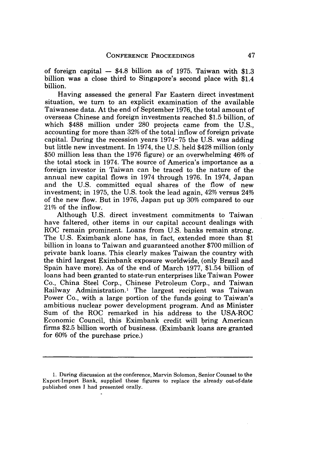of foreign capital  $-$  \$4.8 billion as of 1975. Taiwan with \$1.3 billion was a close third to Singapore's second place with \$1.4 billion.

Having assessed the general Far Eastern direct investment situation, we turn to an explicit examination of the available Taiwanese data. At the end of September 1976, the total amount of overseas Chinese and foreign investments reached \$1.5 billion, of which \$488 million under 280 projects came from the U.S., accounting for more than **32%** of the total inflow of foreign private capital. During the recession years 1974-75 the U.S. was adding but little new investment. In 1974, the U.S. held \$428 million (only \$50 million less than the 1976 figure) or an overwhelming 46% of the total stock in 1974. The source of America's importance as a foreign investor in Taiwan can be traced to the nature of the annual new capital flows in 1974 through 1976. In 1974, Japan and the U.S. committed equal shares of the flow of new investment; in 1975, the U.S. took the lead again, 42% versus 24% of the new flow. But in 1976, Japan put up **30%** compared to our 21% of the inflow.

Although U.S. direct investment commitments to Taiwan have faltered, other items in our capital account dealings with ROC remain prominent. Loans from U.S. banks remain strong. The U.S. Eximbank alone has, in fact, extended more than \$1 billion in loans to Taiwan and guaranteed another \$700 million of private bank loans. This clearly makes Taiwan the country with the third largest Eximbank exposure worldwide, (only Brazil and Spain have more). As of the end of March 1977, \$1.54 billion of loans had been granted to state-run enterprises like Taiwan Power Co., China Steel Corp., Chinese Petroleum Corp., and Taiwan Railway Administration.' The largest recipient was Taiwan Power Co., with a large portion of the funds going to Taiwan's ambitious nuclear power development program. And as Minister Sum of the ROC remarked in his address to the USA-ROC Economic Council, this Eximbank credit will bring American firms \$2.5 billion worth of business. (Eximbank loans are granted for 60% of the purchase price.)

<sup>1.</sup> During discussion at the conference, Marvin Solomon, Senior Counsel to the Export-Import Bank, supplied these figures to replace the already out-of-date published ones I had presented orally.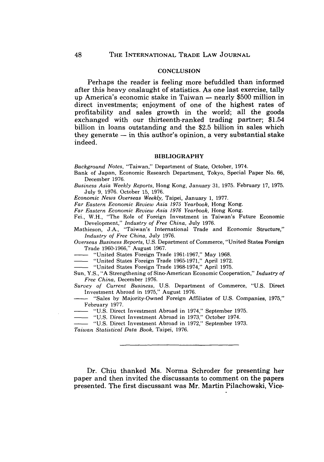#### **CONCLUSION**

Perhaps the reader is feeling more befuddled than informed after this heavy onslaught of statistics. As one last exercise, tally up America's economic stake in Taiwan **-** nearly **\$500** million in direct investments; enjoyment of one of the highest rates of profitability and sales growth in the world; all the goods exchanged with our thirteenth-ranked trading partner; \$1.54 billion in loans outstanding and the **\$2.5** billion in sales which they generate **-** in this author's opinion, a very substantial stake indeed.

#### BIBLIOGRAPHY

*Background Notes,* "Taiwan," Department of State, October, 1974.

- Bank of Japan, Economic Research Department, Tokyo, Special Paper No. 66, December 1976.
- *Business Asia Weekly Reports,* Hong Kong, January 31, 1975. February 17, 1975. July 9, 1976. October 15, 1976.

*Economic News Overseas Weekly,* Taipei, January 1, 1977.

*Far Eastern Economic Review Asia 1975 Yearbook,* Hong Kong.

*Far Eastern Economic Review Asia 1976 Yearbook,* Hong Kong.

Fei., W.H., "The Role of Foreign Investment in Taiwan's Future Economic Development," *Industry of Free China,* July 1976.

Mathieson, J.A., "Taiwan's International Trade and Economic Structure," *Industry of Free China,* July 1976.

*Overseas Business Reports,* U.S. Department of Commerce, "United States Foreign Trade 1960-1966," August 1967.

"United States Foreign Trade 1961-1967," May 1968.

"United States Foreign Trade 1965-1971," April 1972.

"United States Foreign Trade 1968-1974," April 1975.

Sun, Y.S., "A Strengthening of Sino-American Economic Cooperation," *Industry of Free China,* December 1976.

*Survey of Current Business,* U.S. Department of Commerce, "U.S. Direct Investment Abroad in 1975," August 1976.

- "Sales by Majority-Owned Foreign Affiliates of U.S. Companies, 1975," February 1977.

"U.S. Direct Investment Abroad in 1974," September 1975.

"U.S. Direct Investment Abroad in 1973." October 1974.

- "U.S. Direct Investment Abroad in 1972," September 1973.

*Taiwan Statistical Data Book,* Taipei, 1976.

Dr. Chiu thanked Ms. Norma Schroder for presenting her paper and then invited the discussants to comment on the papers presented. The first discussant was Mr. Martin Pilachowski, Vice-